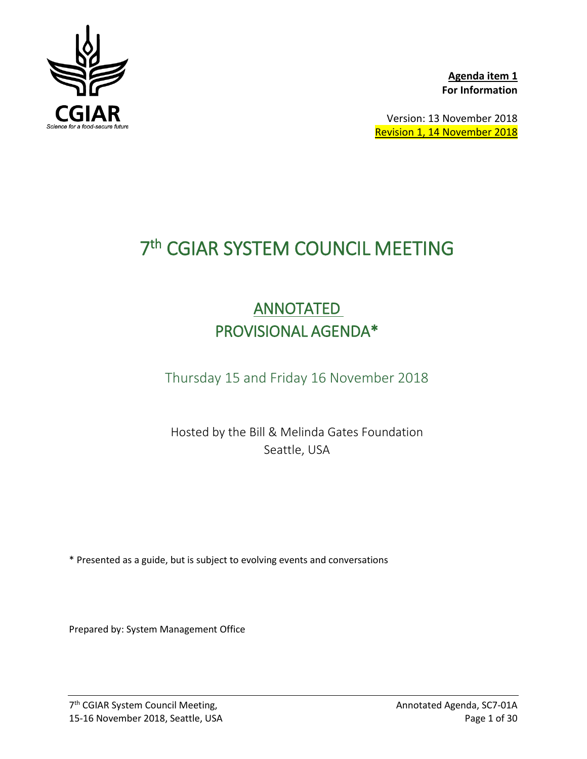

**Agenda item 1 For Information**

Version: 13 November 2018 Revision 1, 14 November 2018

# 7th CGIAR SYSTEM COUNCIL MEETING

# **ANNOTATED** PROVISIONAL AGENDA\*

Thursday 15 and Friday 16 November 2018

Hosted by the Bill & Melinda Gates Foundation Seattle, USA

\* Presented as a guide, but is subject to evolving events and conversations

Prepared by: System Management Office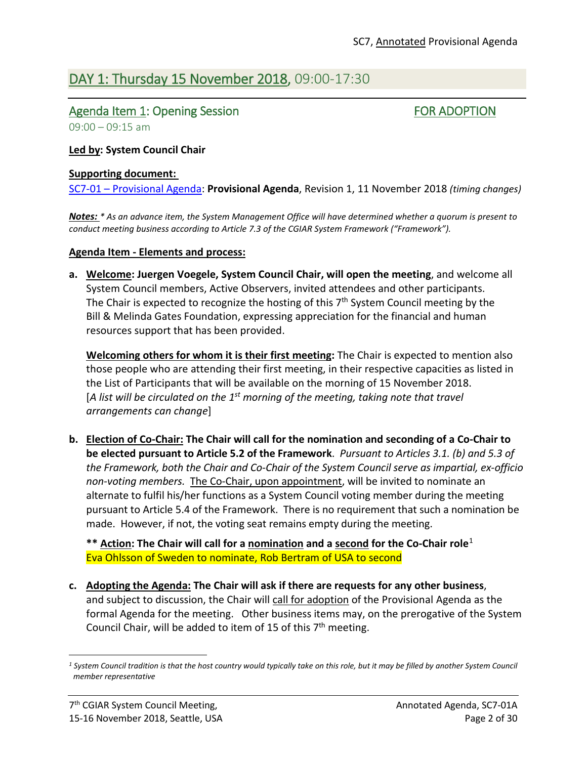# DAY 1: Thursday 15 November 2018, 09:00-17:30

## Agenda Item 1: Opening Session FOR ADOPTION

 $09:00 - 09:15$  am

### **Led by: System Council Chair**

#### **Supporting document:**

SC7-01 – [Provisional Agenda:](https://www.cgiar.org/wp/wp-content/uploads/2018/10/SC7-01_ProvisionalAgenda.pdf) **Provisional Agenda**, Revision 1, 11 November 2018 *(timing changes)*

*Notes: \* As an advance item, the System Management Office will have determined whether a quorum is present to conduct meeting business according to Article 7.3 of the CGIAR System Framework ("Framework").*

#### **Agenda Item - Elements and process:**

**a. Welcome: Juergen Voegele, System Council Chair, will open the meeting**, and welcome all System Council members, Active Observers, invited attendees and other participants. The Chair is expected to recognize the hosting of this  $7<sup>th</sup>$  System Council meeting by the Bill & Melinda Gates Foundation, expressing appreciation for the financial and human resources support that has been provided.

**Welcoming others for whom it is their first meeting:** The Chair is expected to mention also those people who are attending their first meeting, in their respective capacities as listed in the List of Participants that will be available on the morning of 15 November 2018. [*A list will be circulated on the 1st morning of the meeting, taking note that travel arrangements can change*]

**b. Election of Co-Chair: The Chair will call for the nomination and seconding of a Co-Chair to be elected pursuant to Article 5.2 of the Framework**. *Pursuant to Articles 3.1. (b) and 5.3 of the Framework, both the Chair and Co-Chair of the System Council serve as impartial, ex-officio non-voting members.* The Co-Chair, upon appointment, will be invited to nominate an alternate to fulfil his/her functions as a System Council voting member during the meeting pursuant to Article 5.4 of the Framework. There is no requirement that such a nomination be made. However, if not, the voting seat remains empty during the meeting.

**\*\* Action: The Chair will call for a nomination and a second for the Co-Chair role**[1](#page-1-0) Eva Ohlsson of Sweden to nominate, Rob Bertram of USA to second

**c. Adopting the Agenda: The Chair will ask if there are requests for any other business**, and subject to discussion, the Chair will call for adoption of the Provisional Agenda as the formal Agenda for the meeting. Other business items may, on the prerogative of the System Council Chair, will be added to item of 15 of this  $7<sup>th</sup>$  meeting.

l

<span id="page-1-0"></span>*<sup>1</sup> System Council tradition is that the host country would typically take on this role, but it may be filled by another System Council member representative*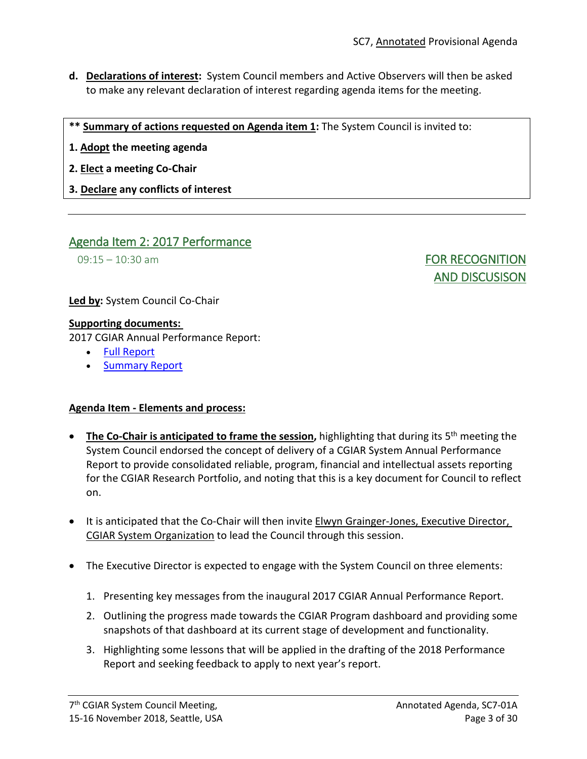- **d. Declarations of interest:** System Council members and Active Observers will then be asked to make any relevant declaration of interest regarding agenda items for the meeting.
- **\*\* Summary of actions requested on Agenda item 1:** The System Council is invited to:
- **1. Adopt the meeting agenda**
- **2. Elect a meeting Co-Chair**
- **3. Declare any conflicts of interest**

## Agenda Item 2: 2017 Performance

09:15 – 10:30 am **FOR RECOGNITION** AND DISCUSISON

**Led by:** System Council Co-Chair

### **Supporting documents:**

2017 CGIAR Annual Performance Report:

- [Full Report](https://www.cgiar.org/cgiar-system-annual-performance-report-2017/)
- [Summary Report](https://www.cgiar.org/wp/wp-content/uploads/2018/10/CGIAR-PR-2017-Short-Version-Low-Res.pdf)

## **Agenda Item - Elements and process:**

- **The Co-Chair is anticipated to frame the session,** highlighting that during its 5th meeting the System Council endorsed the concept of delivery of a CGIAR System Annual Performance Report to provide consolidated reliable, program, financial and intellectual assets reporting for the CGIAR Research Portfolio, and noting that this is a key document for Council to reflect on.
- It is anticipated that the Co-Chair will then invite Elwyn Grainger-Jones, Executive Director, CGIAR System Organization to lead the Council through this session.
- The Executive Director is expected to engage with the System Council on three elements:
	- 1. Presenting key messages from the inaugural 2017 CGIAR Annual Performance Report.
	- 2. Outlining the progress made towards the CGIAR Program dashboard and providing some snapshots of that dashboard at its current stage of development and functionality.
	- 3. Highlighting some lessons that will be applied in the drafting of the 2018 Performance Report and seeking feedback to apply to next year's report.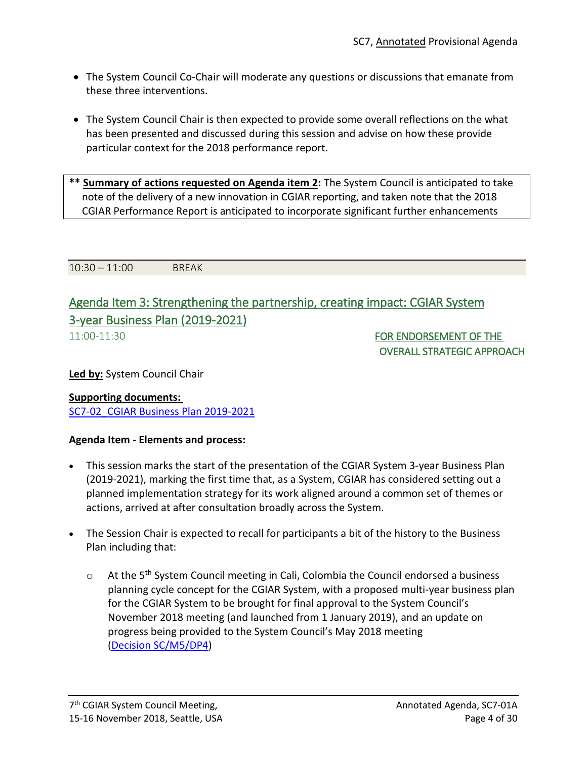- The System Council Co-Chair will moderate any questions or discussions that emanate from these three interventions.
- The System Council Chair is then expected to provide some overall reflections on the what has been presented and discussed during this session and advise on how these provide particular context for the 2018 performance report.

**\*\* Summary of actions requested on Agenda item 2:** The System Council is anticipated to take note of the delivery of a new innovation in CGIAR reporting, and taken note that the 2018 CGIAR Performance Report is anticipated to incorporate significant further enhancements

10:30 – 11:00 BREAK

## Agenda Item 3: Strengthening the partnership, creating impact: CGIAR System 3-year Business Plan (2019-2021)

11:00-11:30 FOR ENDORSEMENT OF THE OVERALL STRATEGIC APPROACH

**Led by:** System Council Chair

# **Supporting documents:**

[SC7-02\\_CGIAR Business Plan 2019-2021](https://www.cgiar.org/wp/wp-content/uploads/2018/11/SC7-02_CGIAR-System_BusinessPlan_2019-2021.pdf)

## **Agenda Item - Elements and process:**

- This session marks the start of the presentation of the CGIAR System 3-year Business Plan (2019-2021), marking the first time that, as a System, CGIAR has considered setting out a planned implementation strategy for its work aligned around a common set of themes or actions, arrived at after consultation broadly across the System.
- The Session Chair is expected to recall for participants a bit of the history to the Business Plan including that:
	- o At the 5<sup>th</sup> System Council meeting in Cali, Colombia the Council endorsed a business planning cycle concept for the CGIAR System, with a proposed multi-year business plan for the CGIAR System to be brought for final approval to the System Council's November 2018 meeting (and launched from 1 January 2019), and an update on progress being provided to the System Council's May 2018 meeting (Decision [SC/M5/DP4\)](https://www.cgiar.org/wp/wp-content/uploads/2018/03/SC5-11_Chairs-Summary_13Nov2017.pdf)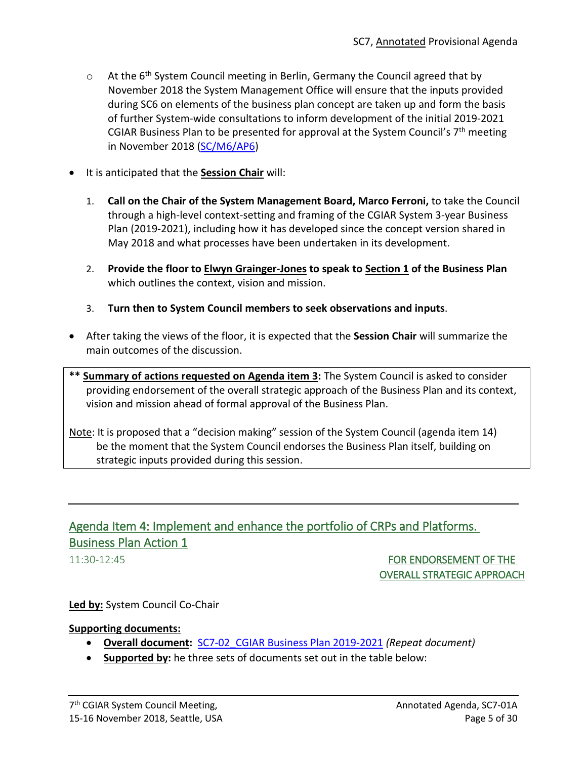- $\circ$  At the 6<sup>th</sup> System Council meeting in Berlin, Germany the Council agreed that by November 2018 the System Management Office will ensure that the inputs provided during SC6 on elements of the business plan concept are taken up and form the basis of further System-wide consultations to inform development of the initial 2019-2021 CGIAR Business Plan to be presented for approval at the System Council's  $7<sup>th</sup>$  meeting in November 2018 [\(SC/M6/AP6\)](https://www.cgiar.org/wp/wp-content/uploads/2018/05/SC6-08_Chairs-Summary.pdf)
- It is anticipated that the **Session Chair** will:
	- 1. **Call on the Chair of the System Management Board, Marco Ferroni,** to take the Council through a high-level context-setting and framing of the CGIAR System 3-year Business Plan (2019-2021), including how it has developed since the concept version shared in May 2018 and what processes have been undertaken in its development.
	- 2. **Provide the floor to Elwyn Grainger-Jones to speak to Section 1 of the Business Plan** which outlines the context, vision and mission.
	- 3. **Turn then to System Council members to seek observations and inputs**.
- After taking the views of the floor, it is expected that the **Session Chair** will summarize the main outcomes of the discussion.
- **\*\* Summary of actions requested on Agenda item 3:** The System Council is asked to consider providing endorsement of the overall strategic approach of the Business Plan and its context, vision and mission ahead of formal approval of the Business Plan.

Note: It is proposed that a "decision making" session of the System Council (agenda item 14) be the moment that the System Council endorses the Business Plan itself, building on strategic inputs provided during this session.

## Agenda Item 4: Implement and enhance the portfolio of CRPs and Platforms. Business Plan Action 1

11:30-12:45 FOR ENDORSEMENT OF THE OVERALL STRATEGIC APPROACH

### **Led by:** System Council Co-Chair

### **Supporting documents:**

- **Overall document:** [SC7-02\\_CGIAR Business Plan 2019-2021](https://www.cgiar.org/wp/wp-content/uploads/2018/11/SC7-02_CGIAR-System_BusinessPlan_2019-2021.pdf) *(Repeat document)*
- **Supported by:** he three sets of documents set out in the table below: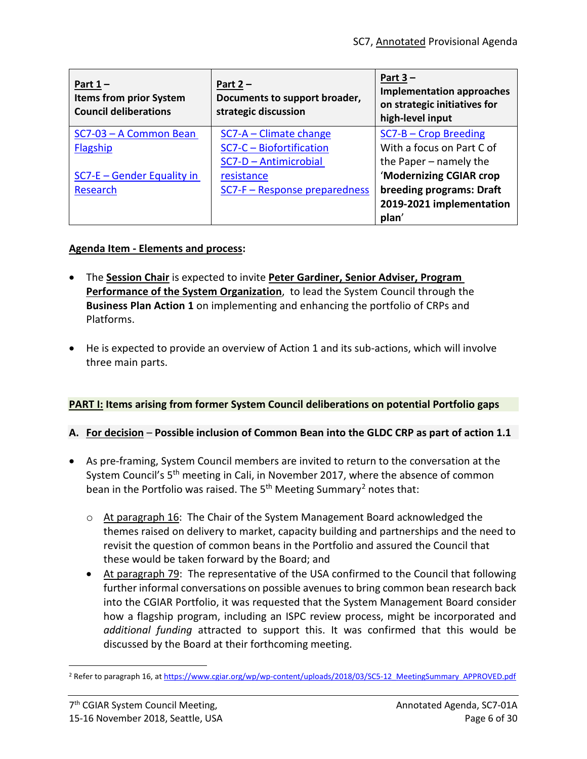| Part $1 -$<br><b>Items from prior System</b><br><b>Council deliberations</b> | Part $2 -$<br>Documents to support broader,<br>strategic discussion | Part $3 -$<br><b>Implementation approaches</b><br>on strategic initiatives for<br>high-level input |
|------------------------------------------------------------------------------|---------------------------------------------------------------------|----------------------------------------------------------------------------------------------------|
| SC7-03 - A Common Bean                                                       | $SC7-A - Climate change$                                            | $SC7-B$ – Crop Breeding                                                                            |
| <b>Flagship</b>                                                              | SC7-C - Biofortification                                            | With a focus on Part C of                                                                          |
|                                                                              | SC7-D - Antimicrobial                                               | the Paper – namely the                                                                             |
| $SC7-E - Gender Equality in$                                                 | resistance                                                          | 'Modernizing CGIAR crop                                                                            |
| Research                                                                     | SC7-F - Response preparedness                                       | breeding programs: Draft                                                                           |
|                                                                              |                                                                     | 2019-2021 implementation                                                                           |
|                                                                              |                                                                     | plan'                                                                                              |

## **Agenda Item - Elements and process:**

- The **Session Chair** is expected to invite **Peter Gardiner, Senior Adviser, Program Performance of the System Organization**, to lead the System Council through the **Business Plan Action 1** on implementing and enhancing the portfolio of CRPs and Platforms.
- He is expected to provide an overview of Action 1 and its sub-actions, which will involve three main parts.

## **PART I: Items arising from former System Council deliberations on potential Portfolio gaps**

## **A. For decision** – **Possible inclusion of Common Bean into the GLDC CRP as part of action 1.1**

- As pre-framing, System Council members are invited to return to the conversation at the System Council's 5<sup>th</sup> meeting in Cali, in November 2017, where the absence of common bean in the Portfolio was raised. The  $5<sup>th</sup>$  Meeting Summary<sup>[2](#page-5-0)</sup> notes that:
	- $\circ$  At paragraph 16: The Chair of the System Management Board acknowledged the themes raised on delivery to market, capacity building and partnerships and the need to revisit the question of common beans in the Portfolio and assured the Council that these would be taken forward by the Board; and
	- At paragraph 79: The representative of the USA confirmed to the Council that following further informal conversations on possible avenues to bring common bean research back into the CGIAR Portfolio, it was requested that the System Management Board consider how a flagship program, including an ISPC review process, might be incorporated and *additional funding* attracted to support this. It was confirmed that this would be discussed by the Board at their forthcoming meeting.

<span id="page-5-0"></span><sup>&</sup>lt;sup>2</sup> Refer to paragraph 16, at [https://www.cgiar.org/wp/wp-content/uploads/2018/03/SC5-12\\_MeetingSummary\\_APPROVED.pdf](https://www.cgiar.org/wp/wp-content/uploads/2018/03/SC5-12_MeetingSummary_APPROVED.pdf)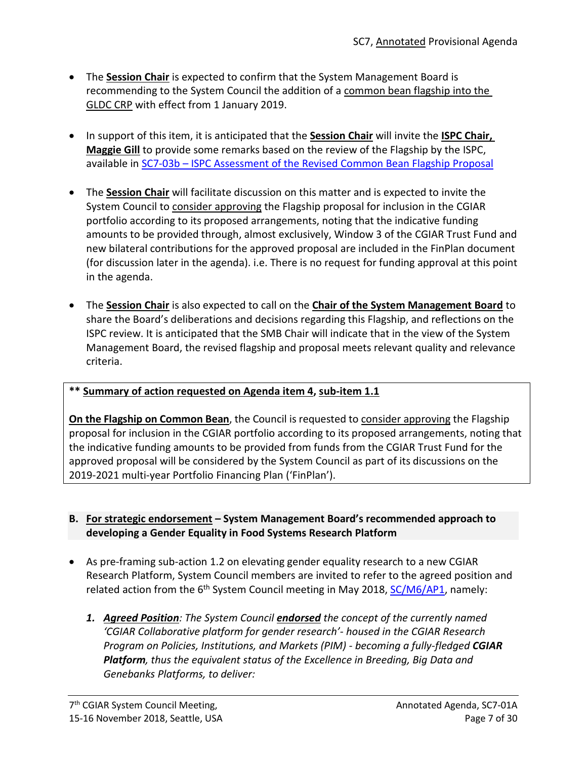- The **Session Chair** is expected to confirm that the System Management Board is recommending to the System Council the addition of a common bean flagship into the GLDC CRP with effect from 1 January 2019.
- In support of this item, it is anticipated that the **Session Chair** will invite the **ISPC Chair, Maggie Gill** to provide some remarks based on the review of the Flagship by the ISPC, available in SC7-03b – [ISPC Assessment of the Revised Common Bean Flagship Proposal](https://www.cgiar.org/wp/wp-content/uploads/2018/11/SC7-03B_ISPC_Assessment_Revised_Common_Bean.pdf)
- The **Session Chair** will facilitate discussion on this matter and is expected to invite the System Council to consider approving the Flagship proposal for inclusion in the CGIAR portfolio according to its proposed arrangements, noting that the indicative funding amounts to be provided through, almost exclusively, Window 3 of the CGIAR Trust Fund and new bilateral contributions for the approved proposal are included in the FinPlan document (for discussion later in the agenda). i.e. There is no request for funding approval at this point in the agenda.
- The **Session Chair** is also expected to call on the **Chair of the System Management Board** to share the Board's deliberations and decisions regarding this Flagship, and reflections on the ISPC review. It is anticipated that the SMB Chair will indicate that in the view of the System Management Board, the revised flagship and proposal meets relevant quality and relevance criteria.

## **\*\* Summary of action requested on Agenda item 4, sub-item 1.1**

**On the Flagship on Common Bean**, the Council is requested to consider approving the Flagship proposal for inclusion in the CGIAR portfolio according to its proposed arrangements, noting that the indicative funding amounts to be provided from funds from the CGIAR Trust Fund for the approved proposal will be considered by the System Council as part of its discussions on the 2019-2021 multi-year Portfolio Financing Plan ('FinPlan').

## **B. For strategic endorsement – System Management Board's recommended approach to developing a Gender Equality in Food Systems Research Platform**

- As pre-framing sub-action 1.2 on elevating gender equality research to a new CGIAR Research Platform, System Council members are invited to refer to the agreed position and related action from the 6<sup>th</sup> System Council meeting in May 2018, **SC/M6/AP1**, namely:
	- *1. Agreed Position: The System Council endorsed the concept of the currently named 'CGIAR Collaborative platform for gender research'- housed in the CGIAR Research Program on Policies, Institutions, and Markets (PIM) - becoming a fully-fledged CGIAR Platform, thus the equivalent status of the Excellence in Breeding, Big Data and Genebanks Platforms, to deliver:*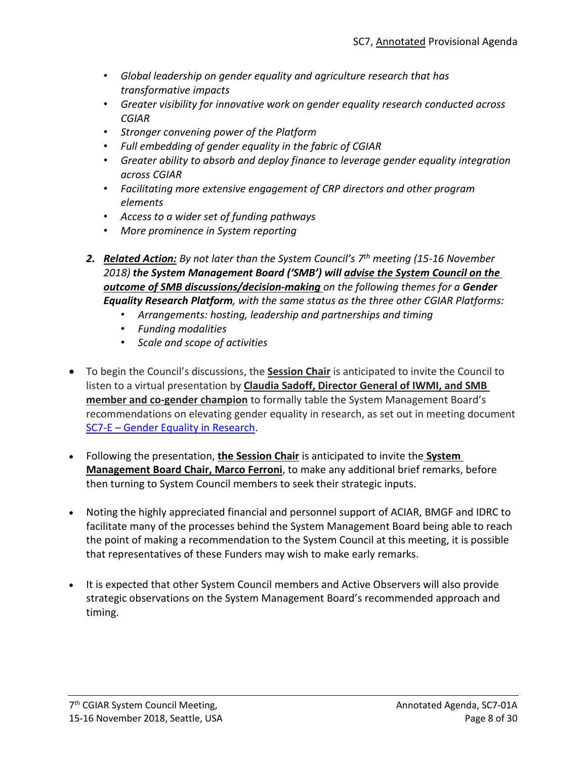- *Global leadership on gender equality and agriculture research that has transformative impacts*
- *Greater visibility for innovative work on gender equality research conducted across CGIAR*
- *Stronger convening power of the Platform*
- *Full embedding of gender equality in the fabric of CGIAR*
- *Greater ability to absorb and deploy finance to leverage gender equality integration across CGIAR*
- *Facilitating more extensive engagement of CRP directors and other program elements*
- *Access to a wider set of funding pathways*
- *More prominence in System reporting*
- *2. Related Action: By not later than the System Council's 7th meeting (15-16 November 2018) the System Management Board ('SMB') will advise the System Council on the outcome of SMB discussions/decision-making on the following themes for a Gender Equality Research Platform, with the same status as the three other CGIAR Platforms:*
	- *Arrangements: hosting, leadership and partnerships and timing*
	- *Funding modalities*
	- *Scale and scope of activities*
- To begin the Council's discussions, the **Session Chair** is anticipated to invite the Council to listen to a virtual presentation by **Claudia Sadoff, Director General of IWMI, and SMB member and co-gender champion** to formally table the System Management Board's recommendations on elevating gender equality in research, as set out in meeting document SC7-E – [Gender Equality in Research.](https://www.cgiar.org/wp/wp-content/uploads/2018/11/SC7-E-GenderResearch_Platform.pdf)
- Following the presentation, **the Session Chair** is anticipated to invite the **System Management Board Chair, Marco Ferroni**, to make any additional brief remarks, before then turning to System Council members to seek their strategic inputs.
- Noting the highly appreciated financial and personnel support of ACIAR, BMGF and IDRC to facilitate many of the processes behind the System Management Board being able to reach the point of making a recommendation to the System Council at this meeting, it is possible that representatives of these Funders may wish to make early remarks.
- It is expected that other System Council members and Active Observers will also provide strategic observations on the System Management Board's recommended approach and timing.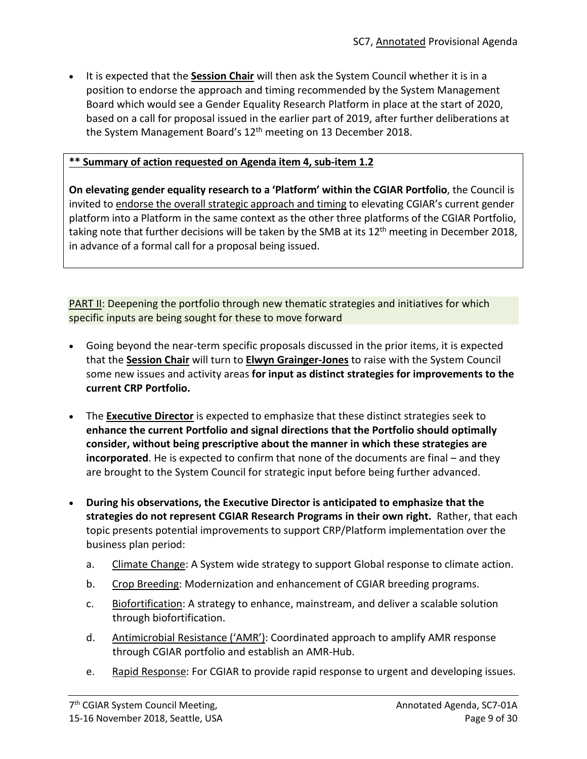• It is expected that the **Session Chair** will then ask the System Council whether it is in a position to endorse the approach and timing recommended by the System Management Board which would see a Gender Equality Research Platform in place at the start of 2020, based on a call for proposal issued in the earlier part of 2019, after further deliberations at the System Management Board's  $12<sup>th</sup>$  meeting on 13 December 2018.

## **\*\* Summary of action requested on Agenda item 4, sub-item 1.2**

**On elevating gender equality research to a 'Platform' within the CGIAR Portfolio**, the Council is invited to endorse the overall strategic approach and timing to elevating CGIAR's current gender platform into a Platform in the same context as the other three platforms of the CGIAR Portfolio, taking note that further decisions will be taken by the SMB at its 12<sup>th</sup> meeting in December 2018, in advance of a formal call for a proposal being issued.

**PART II:** Deepening the portfolio through new thematic strategies and initiatives for which specific inputs are being sought for these to move forward

- Going beyond the near-term specific proposals discussed in the prior items, it is expected that the **Session Chair** will turn to **Elwyn Grainger-Jones** to raise with the System Council some new issues and activity areas **for input as distinct strategies for improvements to the current CRP Portfolio.**
- The **Executive Director** is expected to emphasize that these distinct strategies seek to **enhance the current Portfolio and signal directions that the Portfolio should optimally consider, without being prescriptive about the manner in which these strategies are incorporated**. He is expected to confirm that none of the documents are final – and they are brought to the System Council for strategic input before being further advanced.
- **During his observations, the Executive Director is anticipated to emphasize that the strategies do not represent CGIAR Research Programs in their own right.** Rather, that each topic presents potential improvements to support CRP/Platform implementation over the business plan period:
	- a. Climate Change: A System wide strategy to support Global response to climate action.
	- b. Crop Breeding: Modernization and enhancement of CGIAR breeding programs.
	- c. Biofortification: A strategy to enhance, mainstream, and deliver a scalable solution through biofortification.
	- d. Antimicrobial Resistance ('AMR'): Coordinated approach to amplify AMR response through CGIAR portfolio and establish an AMR-Hub.
	- e. Rapid Response: For CGIAR to provide rapid response to urgent and developing issues.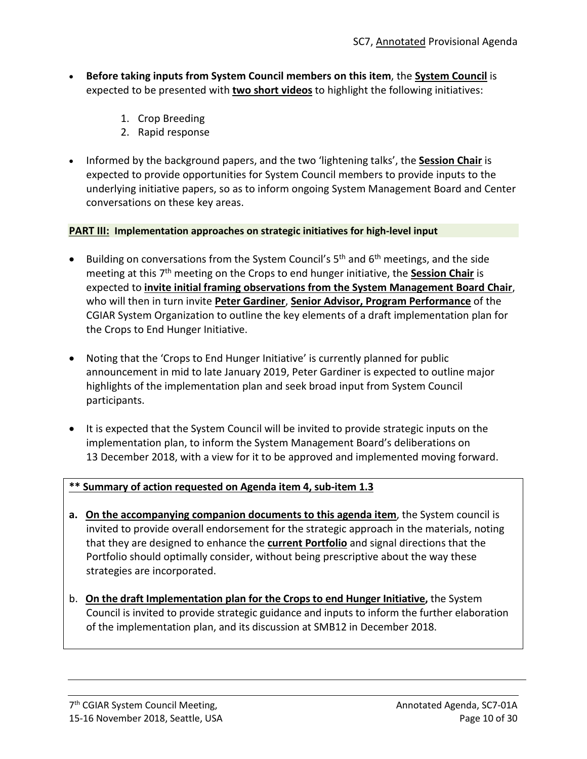- **Before taking inputs from System Council members on this item**, the **System Council** is expected to be presented with **two short videos** to highlight the following initiatives:
	- 1. Crop Breeding
	- 2. Rapid response
- Informed by the background papers, and the two 'lightening talks', the **Session Chair** is expected to provide opportunities for System Council members to provide inputs to the underlying initiative papers, so as to inform ongoing System Management Board and Center conversations on these key areas.

### **PART III: Implementation approaches on strategic initiatives for high-level input**

- Building on conversations from the System Council's  $5<sup>th</sup>$  and  $6<sup>th</sup>$  meetings, and the side meeting at this 7th meeting on the Crops to end hunger initiative, the **Session Chair** is expected to **invite initial framing observations from the System Management Board Chair**, who will then in turn invite **Peter Gardiner**, **Senior Advisor, Program Performance** of the CGIAR System Organization to outline the key elements of a draft implementation plan for the Crops to End Hunger Initiative.
- Noting that the 'Crops to End Hunger Initiative' is currently planned for public announcement in mid to late January 2019, Peter Gardiner is expected to outline major highlights of the implementation plan and seek broad input from System Council participants.
- It is expected that the System Council will be invited to provide strategic inputs on the implementation plan, to inform the System Management Board's deliberations on 13 December 2018, with a view for it to be approved and implemented moving forward.

## **\*\* Summary of action requested on Agenda item 4, sub-item 1.3**

- **a. On the accompanying companion documents to this agenda item**, the System council is invited to provide overall endorsement for the strategic approach in the materials, noting that they are designed to enhance the **current Portfolio** and signal directions that the Portfolio should optimally consider, without being prescriptive about the way these strategies are incorporated.
- b. **On the draft Implementation plan for the Crops to end Hunger Initiative,** the System Council is invited to provide strategic guidance and inputs to inform the further elaboration of the implementation plan, and its discussion at SMB12 in December 2018.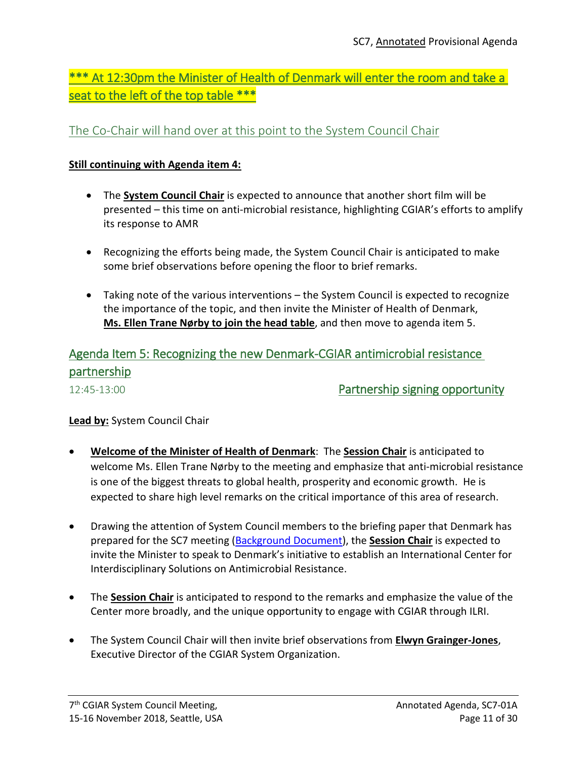\*\*\* At 12:30pm the Minister of Health of Denmark will enter the room and take a seat to the left of the top table \*\*\*

## The Co-Chair will hand over at this point to the System Council Chair

## **Still continuing with Agenda item 4:**

- The **System Council Chair** is expected to announce that another short film will be presented – this time on anti-microbial resistance, highlighting CGIAR's efforts to amplify its response to AMR
- Recognizing the efforts being made, the System Council Chair is anticipated to make some brief observations before opening the floor to brief remarks.
- Taking note of the various interventions the System Council is expected to recognize the importance of the topic, and then invite the Minister of Health of Denmark, **Ms. Ellen Trane Nørby to join the head table**, and then move to agenda item 5.

# Agenda Item 5: Recognizing the new Denmark-CGIAR antimicrobial resistance partnership

12:45-13:00 Partnership signing opportunity

## **Lead by:** System Council Chair

- **Welcome of the Minister of Health of Denmark**: The **Session Chair** is anticipated to welcome Ms. Ellen Trane Nørby to the meeting and emphasize that anti-microbial resistance is one of the biggest threats to global health, prosperity and economic growth. He is expected to share high level remarks on the critical importance of this area of research.
- Drawing the attention of System Council members to the briefing paper that Denmark has prepared for the SC7 meeting [\(Background Document\)](https://www.cgiar.org/wp/wp-content/uploads/2018/11/Background-Doc_2-pager-The-International-Centre-for-Interdisciplinary-Solutions-on-AMR.pdf), the **Session Chair** is expected to invite the Minister to speak to Denmark's initiative to establish an International Center for Interdisciplinary Solutions on Antimicrobial Resistance.
- The **Session Chair** is anticipated to respond to the remarks and emphasize the value of the Center more broadly, and the unique opportunity to engage with CGIAR through ILRI.
- The System Council Chair will then invite brief observations from **Elwyn Grainger-Jones**, Executive Director of the CGIAR System Organization.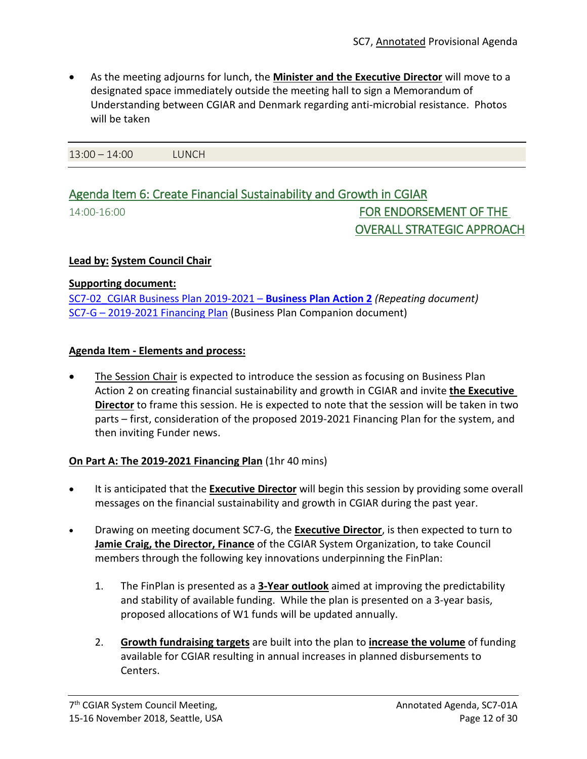• As the meeting adjourns for lunch, the **Minister and the Executive Director** will move to a designated space immediately outside the meeting hall to sign a Memorandum of Understanding between CGIAR and Denmark regarding anti-microbial resistance. Photos will be taken

13:00 – 14:00 LUNCH

# Agenda Item 6: Create Financial Sustainability and Growth in CGIAR

14:00-16:00 FOR ENDORSEMENT OF THE OVERALL STRATEGIC APPROACH

### **Lead by: System Council Chair**

### **Supporting document:**

[SC7-02\\_CGIAR Business Plan 2019-2021](https://www.cgiar.org/wp/wp-content/uploads/2018/11/SC7-02_CGIAR-System_BusinessPlan_2019-2021.pdf) – **Business Plan Action 2** *(Repeating document)* SC7-G – [2019-2021 Financing Plan](https://www.cgiar.org/wp/wp-content/uploads/2018/11/SC7%C2%ADG_-2019-2021-Financing-Plan.pdf) (Business Plan Companion document)

### **Agenda Item - Elements and process:**

The Session Chair is expected to introduce the session as focusing on Business Plan Action 2 on creating financial sustainability and growth in CGIAR and invite **the Executive Director** to frame this session. He is expected to note that the session will be taken in two parts – first, consideration of the proposed 2019-2021 Financing Plan for the system, and then inviting Funder news.

## **On Part A: The 2019-2021 Financing Plan** (1hr 40 mins)

- It is anticipated that the **Executive Director** will begin this session by providing some overall messages on the financial sustainability and growth in CGIAR during the past year.
- Drawing on meeting document SC7-G, the **Executive Director**, is then expected to turn to **Jamie Craig, the Director, Finance** of the CGIAR System Organization, to take Council members through the following key innovations underpinning the FinPlan:
	- 1. The FinPlan is presented as a **3-Year outlook** aimed at improving the predictability and stability of available funding. While the plan is presented on a 3-year basis, proposed allocations of W1 funds will be updated annually.
	- 2. **Growth fundraising targets** are built into the plan to **increase the volume** of funding available for CGIAR resulting in annual increases in planned disbursements to Centers.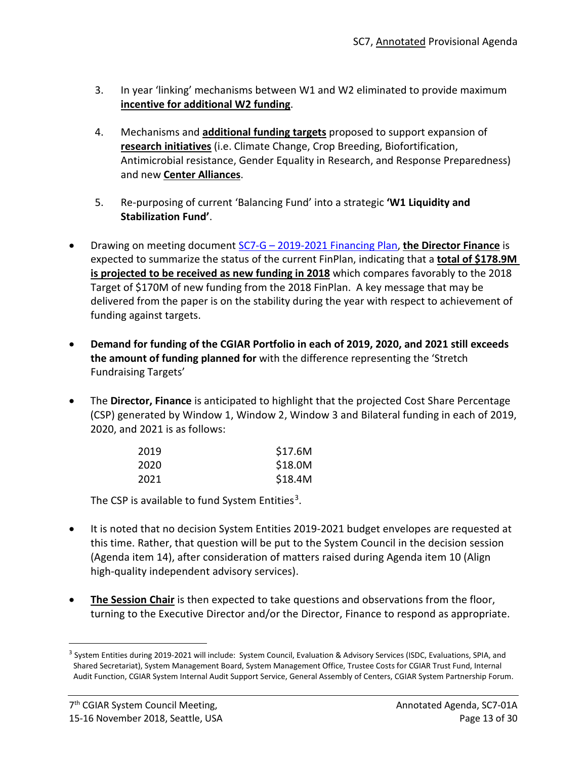- 3. In year 'linking' mechanisms between W1 and W2 eliminated to provide maximum **incentive for additional W2 funding**.
- 4. Mechanisms and **additional funding targets** proposed to support expansion of **research initiatives** (i.e. Climate Change, Crop Breeding, Biofortification, Antimicrobial resistance, Gender Equality in Research, and Response Preparedness) and new **Center Alliances**.
- 5. Re-purposing of current 'Balancing Fund' into a strategic **'W1 Liquidity and Stabilization Fund'**.
- Drawing on meeting document SC7-G [2019-2021 Financing Plan,](https://www.cgiar.org/wp/wp-content/uploads/2018/11/SC7%C2%ADG_-2019-2021-Financing-Plan.pdf) **the Director Finance** is expected to summarize the status of the current FinPlan, indicating that a **total of \$178.9M is projected to be received as new funding in 2018** which compares favorably to the 2018 Target of \$170M of new funding from the 2018 FinPlan. A key message that may be delivered from the paper is on the stability during the year with respect to achievement of funding against targets.
- **Demand for funding of the CGIAR Portfolio in each of 2019, 2020, and 2021 still exceeds the amount of funding planned for** with the difference representing the 'Stretch Fundraising Targets'
- The **Director, Finance** is anticipated to highlight that the projected Cost Share Percentage (CSP) generated by Window 1, Window 2, Window 3 and Bilateral funding in each of 2019, 2020, and 2021 is as follows:

| 2019 | \$17.6M |
|------|---------|
| 2020 | \$18.0M |
| 2021 | \$18.4M |

The CSP is available to fund System Entities<sup>3</sup>.

- It is noted that no decision System Entities 2019-2021 budget envelopes are requested at this time. Rather, that question will be put to the System Council in the decision session (Agenda item 14), after consideration of matters raised during Agenda item 10 (Align high-quality independent advisory services).
- The Session Chair is then expected to take questions and observations from the floor, turning to the Executive Director and/or the Director, Finance to respond as appropriate.

<span id="page-12-0"></span><sup>&</sup>lt;sup>3</sup> System Entities during 2019-2021 will include: System Council, Evaluation & Advisory Services (ISDC, Evaluations, SPIA, and Shared Secretariat), System Management Board, System Management Office, Trustee Costs for CGIAR Trust Fund, Internal Audit Function, CGIAR System Internal Audit Support Service, General Assembly of Centers, CGIAR System Partnership Forum.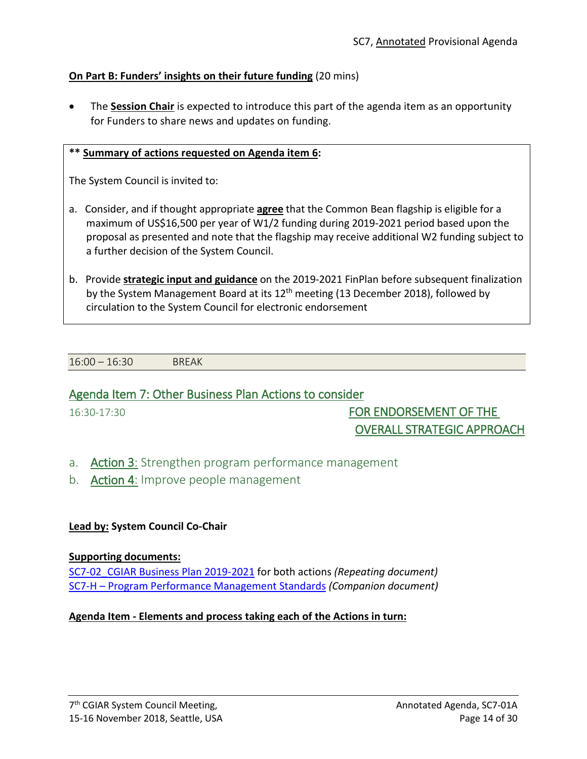## **On Part B: Funders' insights on their future funding** (20 mins)

• The **Session Chair** is expected to introduce this part of the agenda item as an opportunity for Funders to share news and updates on funding.

## **\*\* Summary of actions requested on Agenda item 6:**

The System Council is invited to:

- a. Consider, and if thought appropriate **agree** that the Common Bean flagship is eligible for a maximum of US\$16,500 per year of W1/2 funding during 2019-2021 period based upon the proposal as presented and note that the flagship may receive additional W2 funding subject to a further decision of the System Council.
- b. Provide **strategic input and guidance** on the 2019-2021 FinPlan before subsequent finalization by the System Management Board at its  $12<sup>th</sup>$  meeting (13 December 2018), followed by circulation to the System Council for electronic endorsement

16:00 – 16:30 BREAK

## Agenda Item 7: Other Business Plan Actions to consider

16:30-17:30 FOR ENDORSEMENT OF THE OVERALL STRATEGIC APPROACH

- a. Action 3: Strengthen program performance management
- b. **Action 4:** Improve people management

## **Lead by: System Council Co-Chair**

### **Supporting documents:**

[SC7-02\\_CGIAR Business Plan 2019-2021](https://www.cgiar.org/wp/wp-content/uploads/2018/11/SC7-02_CGIAR-System_BusinessPlan_2019-2021.pdf) for both actions *(Repeating document)* SC7-H – [Program Performance Management Standards](https://www.cgiar.org/wp/wp-content/uploads/2018/10/SC7-H_Program-Performance-Management-Standards.pdf) *(Companion document)*

## **Agenda Item - Elements and process taking each of the Actions in turn:**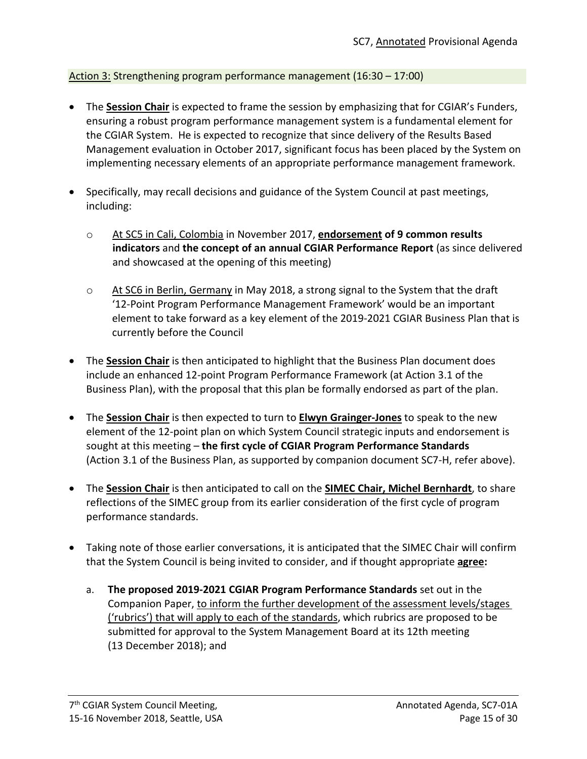## Action 3: Strengthening program performance management (16:30 – 17:00)

- The **Session Chair** is expected to frame the session by emphasizing that for CGIAR's Funders, ensuring a robust program performance management system is a fundamental element for the CGIAR System. He is expected to recognize that since delivery of the Results Based Management evaluation in October 2017, significant focus has been placed by the System on implementing necessary elements of an appropriate performance management framework.
- Specifically, may recall decisions and guidance of the System Council at past meetings, including:
	- o At SC5 in Cali, Colombia in November 2017, **endorsement of 9 common results indicators** and **the concept of an annual CGIAR Performance Report** (as since delivered and showcased at the opening of this meeting)
	- $\circ$  At SC6 in Berlin, Germany in May 2018, a strong signal to the System that the draft '12-Point Program Performance Management Framework' would be an important element to take forward as a key element of the 2019-2021 CGIAR Business Plan that is currently before the Council
- The **Session Chair** is then anticipated to highlight that the Business Plan document does include an enhanced 12-point Program Performance Framework (at Action 3.1 of the Business Plan), with the proposal that this plan be formally endorsed as part of the plan.
- The **Session Chair** is then expected to turn to **Elwyn Grainger-Jones** to speak to the new element of the 12-point plan on which System Council strategic inputs and endorsement is sought at this meeting – **the first cycle of CGIAR Program Performance Standards** (Action 3.1 of the Business Plan, as supported by companion document SC7-H, refer above).
- The **Session Chair** is then anticipated to call on the **SIMEC Chair, Michel Bernhardt**, to share reflections of the SIMEC group from its earlier consideration of the first cycle of program performance standards.
- Taking note of those earlier conversations, it is anticipated that the SIMEC Chair will confirm that the System Council is being invited to consider, and if thought appropriate **agree:**
	- a. **The proposed 2019-2021 CGIAR Program Performance Standards** set out in the Companion Paper, to inform the further development of the assessment levels/stages ('rubrics') that will apply to each of the standards, which rubrics are proposed to be submitted for approval to the System Management Board at its 12th meeting (13 December 2018); and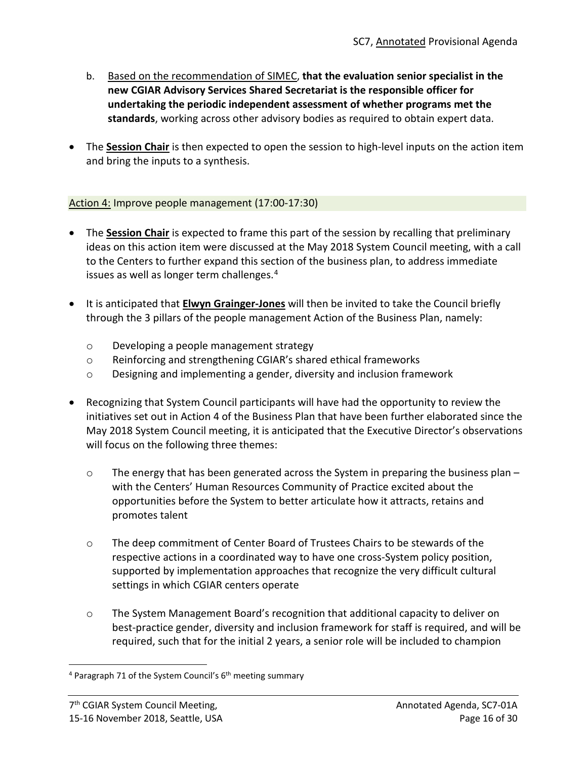- b. Based on the recommendation of SIMEC, **that the evaluation senior specialist in the new CGIAR Advisory Services Shared Secretariat is the responsible officer for undertaking the periodic independent assessment of whether programs met the standards**, working across other advisory bodies as required to obtain expert data.
- The **Session Chair** is then expected to open the session to high-level inputs on the action item and bring the inputs to a synthesis.

## Action 4: Improve people management (17:00-17:30)

- The **Session Chair** is expected to frame this part of the session by recalling that preliminary ideas on this action item were discussed at the May 2018 System Council meeting, with a call to the Centers to further expand this section of the business plan, to address immediate issues as well as longer term challenges.<sup>[4](#page-15-0)</sup>
- It is anticipated that **Elwyn Grainger-Jones** will then be invited to take the Council briefly through the 3 pillars of the people management Action of the Business Plan, namely:
	- o Developing a people management strategy
	- o Reinforcing and strengthening CGIAR's shared ethical frameworks
	- o Designing and implementing a gender, diversity and inclusion framework
- Recognizing that System Council participants will have had the opportunity to review the initiatives set out in Action 4 of the Business Plan that have been further elaborated since the May 2018 System Council meeting, it is anticipated that the Executive Director's observations will focus on the following three themes:
	- $\circ$  The energy that has been generated across the System in preparing the business plan with the Centers' Human Resources Community of Practice excited about the opportunities before the System to better articulate how it attracts, retains and promotes talent
	- o The deep commitment of Center Board of Trustees Chairs to be stewards of the respective actions in a coordinated way to have one cross-System policy position, supported by implementation approaches that recognize the very difficult cultural settings in which CGIAR centers operate
	- $\circ$  The System Management Board's recognition that additional capacity to deliver on best-practice gender, diversity and inclusion framework for staff is required, and will be required, such that for the initial 2 years, a senior role will be included to champion

<span id="page-15-0"></span> $4$  Paragraph 71 of the System Council's  $6<sup>th</sup>$  meeting summary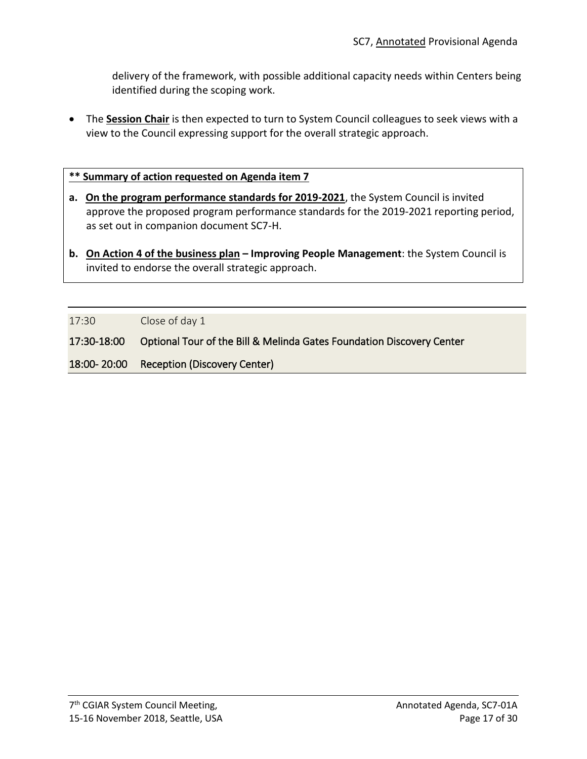delivery of the framework, with possible additional capacity needs within Centers being identified during the scoping work.

• The **Session Chair** is then expected to turn to System Council colleagues to seek views with a view to the Council expressing support for the overall strategic approach.

### **\*\* Summary of action requested on Agenda item 7**

- **a. On the program performance standards for 2019-2021**, the System Council is invited approve the proposed program performance standards for the 2019-2021 reporting period, as set out in companion document SC7-H.
- **b. On Action 4 of the business plan – Improving People Management**: the System Council is invited to endorse the overall strategic approach.

17:30 Close of day 1

17:30-18:00 Optional Tour of the Bill & Melinda Gates Foundation Discovery Center

18:00- 20:00 Reception (Discovery Center)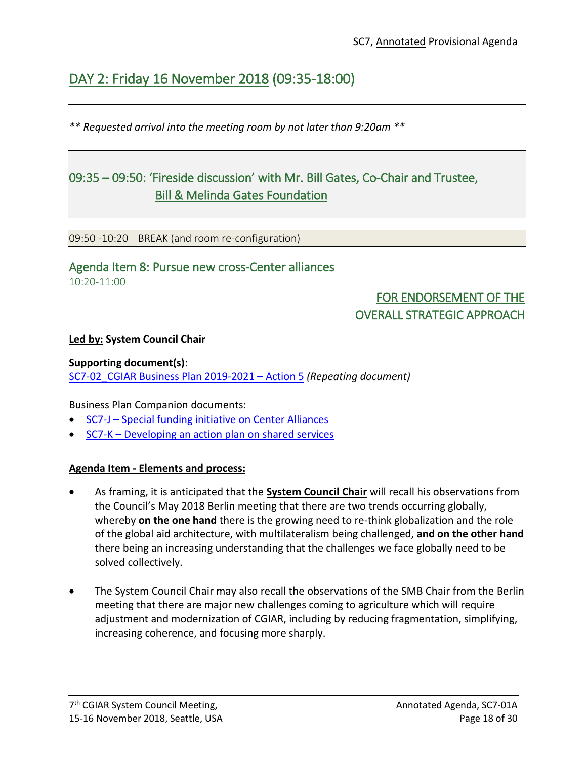# DAY 2: Friday 16 November 2018 (09:35-18:00)

*\*\* Requested arrival into the meeting room by not later than 9:20am \*\**

# 09:35 – 09:50: 'Fireside discussion' with Mr. Bill Gates, Co-Chair and Trustee, Bill & Melinda Gates Foundation

09:50 -10:20 BREAK (and room re-configuration)

## Agenda Item 8: Pursue new cross-Center alliances  $10.20 - 11.00$

# FOR ENDORSEMENT OF THE OVERALL STRATEGIC APPROACH

## **Led by: System Council Chair**

## **Supporting document(s)**:

[SC7-02\\_CGIAR Business Plan 2019-2021](https://www.cgiar.org/wp/wp-content/uploads/2018/11/SC7-02_CGIAR-System_BusinessPlan_2019-2021.pdf) – Action 5 *(Repeating document)*

Business Plan Companion documents:

- SC7-J [Special funding initiative on Center Alliances](https://www.cgiar.org/wp/wp-content/uploads/2018/10/SC7-J_Special-funding-initiative-Center-Alliances.pdf)
- SC7-K [Developing an action plan on shared services](https://www.cgiar.org/wp/wp-content/uploads/2018/11/SC7-K_Shared-Services.pdf)

## **Agenda Item - Elements and process:**

- As framing, it is anticipated that the **System Council Chair** will recall his observations from the Council's May 2018 Berlin meeting that there are two trends occurring globally, whereby **on the one hand** there is the growing need to re-think globalization and the role of the global aid architecture, with multilateralism being challenged, **and on the other hand**  there being an increasing understanding that the challenges we face globally need to be solved collectively.
- The System Council Chair may also recall the observations of the SMB Chair from the Berlin meeting that there are major new challenges coming to agriculture which will require adjustment and modernization of CGIAR, including by reducing fragmentation, simplifying, increasing coherence, and focusing more sharply.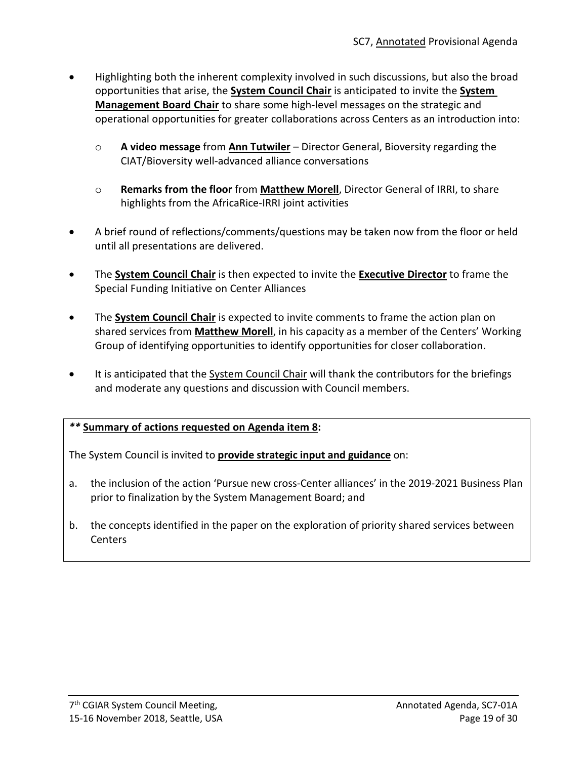- Highlighting both the inherent complexity involved in such discussions, but also the broad opportunities that arise, the **System Council Chair** is anticipated to invite the **System Management Board Chair** to share some high-level messages on the strategic and operational opportunities for greater collaborations across Centers as an introduction into:
	- o **A video message** from **Ann Tutwiler** Director General, Bioversity regarding the CIAT/Bioversity well-advanced alliance conversations
	- o **Remarks from the floor** from **Matthew Morell**, Director General of IRRI, to share highlights from the AfricaRice-IRRI joint activities
- A brief round of reflections/comments/questions may be taken now from the floor or held until all presentations are delivered.
- The **System Council Chair** is then expected to invite the **Executive Director** to frame the Special Funding Initiative on Center Alliances
- The **System Council Chair** is expected to invite comments to frame the action plan on shared services from **Matthew Morell**, in his capacity as a member of the Centers' Working Group of identifying opportunities to identify opportunities for closer collaboration.
- It is anticipated that the System Council Chair will thank the contributors for the briefings and moderate any questions and discussion with Council members.

## *\*\** **Summary of actions requested on Agenda item 8:**

The System Council is invited to **provide strategic input and guidance** on:

- a. the inclusion of the action 'Pursue new cross-Center alliances' in the 2019-2021 Business Plan prior to finalization by the System Management Board; and
- b. the concepts identified in the paper on the exploration of priority shared services between Centers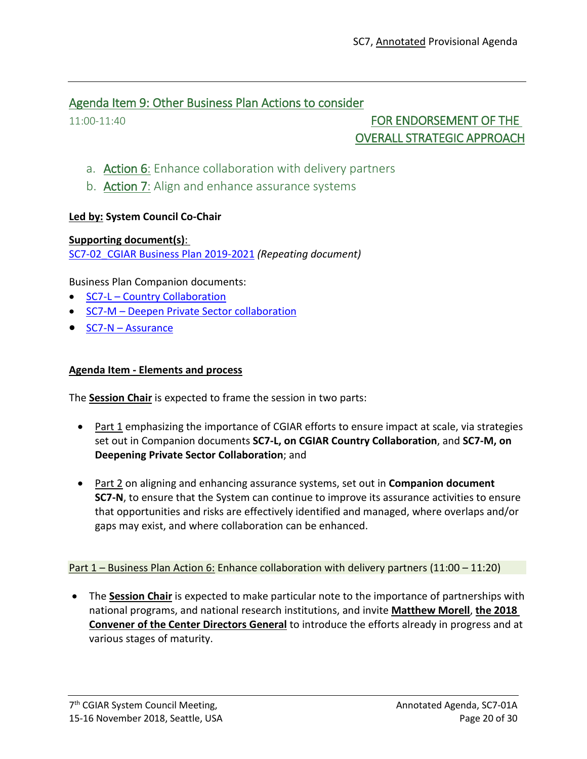## Agenda Item 9: Other Business Plan Actions to consider

## 11:00-11:40 **FOR ENDORSEMENT OF THE** OVERALL STRATEGIC APPROACH

- a. Action 6: Enhance collaboration with delivery partners
- b. **Action 7:** Align and enhance assurance systems

## **Led by: System Council Co-Chair**

**Supporting document(s)**: [SC7-02\\_CGIAR Business Plan 2019-2021](https://www.cgiar.org/wp/wp-content/uploads/2018/11/SC7-02_CGIAR-System_BusinessPlan_2019-2021.pdf) *(Repeating document)*

Business Plan Companion documents:

- SC7-L [Country Collaboration](https://www.cgiar.org/wp/wp-content/uploads/2018/10/SC7-L_CGIAR-Country-Collaboration.pdf)
- SC7-M [Deepen Private Sector collaboration](https://www.cgiar.org/wp/wp-content/uploads/2018/10/SC7-M_Private-Sector-Collaboration.pdf)
- SC7-N [Assurance](https://www.cgiar.org/wp/wp-content/uploads/2018/10/SC7-N_Assurance.pdf)

## **Agenda Item - Elements and process**

The **Session Chair** is expected to frame the session in two parts:

- Part 1 emphasizing the importance of CGIAR efforts to ensure impact at scale, via strategies set out in Companion documents **SC7-L, on CGIAR Country Collaboration**, and **SC7-M, on Deepening Private Sector Collaboration**; and
- Part 2 on aligning and enhancing assurance systems, set out in **Companion document SC7-N**, to ensure that the System can continue to improve its assurance activities to ensure that opportunities and risks are effectively identified and managed, where overlaps and/or gaps may exist, and where collaboration can be enhanced.

Part 1 – Business Plan Action 6: Enhance collaboration with delivery partners (11:00 – 11:20)

• The **Session Chair** is expected to make particular note to the importance of partnerships with national programs, and national research institutions, and invite **Matthew Morell**, **the 2018 Convener of the Center Directors General** to introduce the efforts already in progress and at various stages of maturity.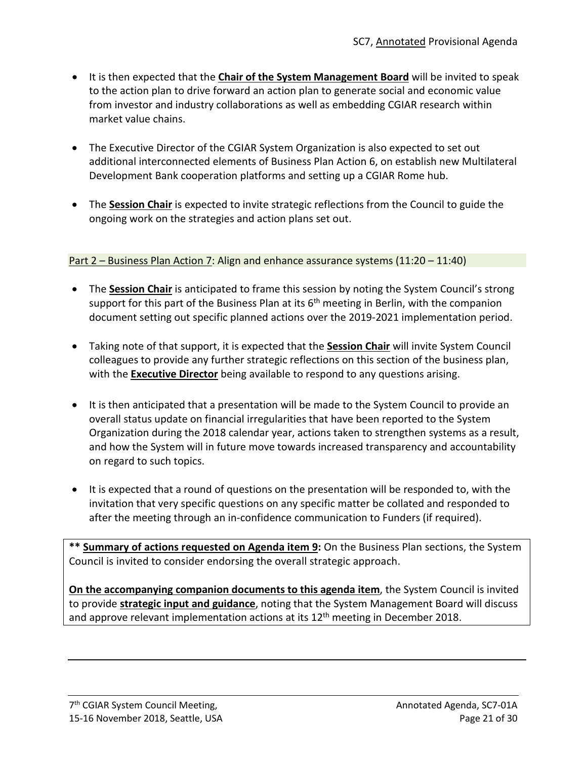- It is then expected that the **Chair of the System Management Board** will be invited to speak to the action plan to drive forward an action plan to generate social and economic value from investor and industry collaborations as well as embedding CGIAR research within market value chains.
- The Executive Director of the CGIAR System Organization is also expected to set out additional interconnected elements of Business Plan Action 6, on establish new Multilateral Development Bank cooperation platforms and setting up a CGIAR Rome hub.
- The **Session Chair** is expected to invite strategic reflections from the Council to guide the ongoing work on the strategies and action plans set out.

## Part 2 – Business Plan Action 7: Align and enhance assurance systems (11:20 – 11:40)

- The **Session Chair** is anticipated to frame this session by noting the System Council's strong support for this part of the Business Plan at its  $6<sup>th</sup>$  meeting in Berlin, with the companion document setting out specific planned actions over the 2019-2021 implementation period.
- Taking note of that support, it is expected that the **Session Chair** will invite System Council colleagues to provide any further strategic reflections on this section of the business plan, with the **Executive Director** being available to respond to any questions arising.
- It is then anticipated that a presentation will be made to the System Council to provide an overall status update on financial irregularities that have been reported to the System Organization during the 2018 calendar year, actions taken to strengthen systems as a result, and how the System will in future move towards increased transparency and accountability on regard to such topics.
- It is expected that a round of questions on the presentation will be responded to, with the invitation that very specific questions on any specific matter be collated and responded to after the meeting through an in-confidence communication to Funders (if required).

**\*\* Summary of actions requested on Agenda item 9:** On the Business Plan sections, the System Council is invited to consider endorsing the overall strategic approach.

**On the accompanying companion documents to this agenda item**, the System Council is invited to provide **strategic input and guidance**, noting that the System Management Board will discuss and approve relevant implementation actions at its  $12<sup>th</sup>$  meeting in December 2018.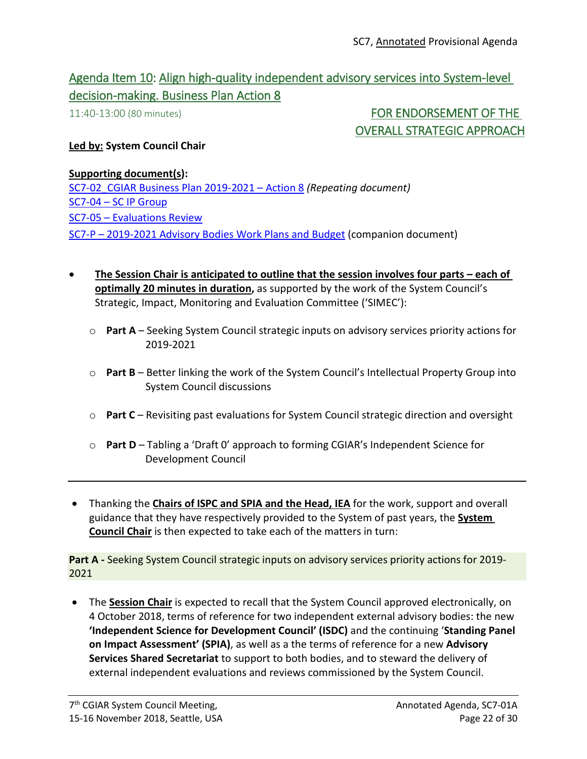## Agenda Item 10: Align high-quality independent advisory services into System-level decision-making. Business Plan Action 8

11:40-13:00 (80 minutes) FOR ENDORSEMENT OF THE OVERALL STRATEGIC APPROACH

### **Led by: System Council Chair**

#### **Supporting document(s):**

[SC7-02\\_CGIAR Business Plan 2019-2021](https://www.cgiar.org/wp/wp-content/uploads/2018/11/SC7-02_CGIAR-System_BusinessPlan_2019-2021.pdf) – Action 8 *(Repeating document)* SC7-04 – [SC IP Group](https://www.cgiar.org/wp/wp-content/uploads/2018/10/SC7-04-SCIP-Group.pdf) SC7-05 – [Evaluations Review](https://www.cgiar.org/wp/wp-content/uploads/2018/11/SC7-05_Evaluations-Review.pdf) SC7-P – [2019-2021 Advisory Bodies Work Plans and Budget](https://www.cgiar.org/wp/wp-content/uploads/2018/11/SC7-P_AdvisoryBodies_2019-2021_Wplans-Budgets.pdf) (companion document)

- **The Session Chair is anticipated to outline that the session involves four parts – each of optimally 20 minutes in duration,** as supported by the work of the System Council's Strategic, Impact, Monitoring and Evaluation Committee ('SIMEC'):
	- o **Part A** Seeking System Council strategic inputs on advisory services priority actions for 2019-2021
	- o **Part B** Better linking the work of the System Council's Intellectual Property Group into System Council discussions
	- o **Part C** Revisiting past evaluations for System Council strategic direction and oversight
	- o **Part D** Tabling a 'Draft 0' approach to forming CGIAR's Independent Science for Development Council
- Thanking the **Chairs of ISPC and SPIA and the Head, IEA** for the work, support and overall guidance that they have respectively provided to the System of past years, the **System Council Chair** is then expected to take each of the matters in turn:

**Part A -** Seeking System Council strategic inputs on advisory services priority actions for 2019- 2021

• The **Session Chair** is expected to recall that the System Council approved electronically, on 4 October 2018, terms of reference for two independent external advisory bodies: the new **'Independent Science for Development Council' (ISDC)** and the continuing '**Standing Panel on Impact Assessment' (SPIA)**, as well as a the terms of reference for a new **Advisory Services Shared Secretariat** to support to both bodies, and to steward the delivery of external independent evaluations and reviews commissioned by the System Council.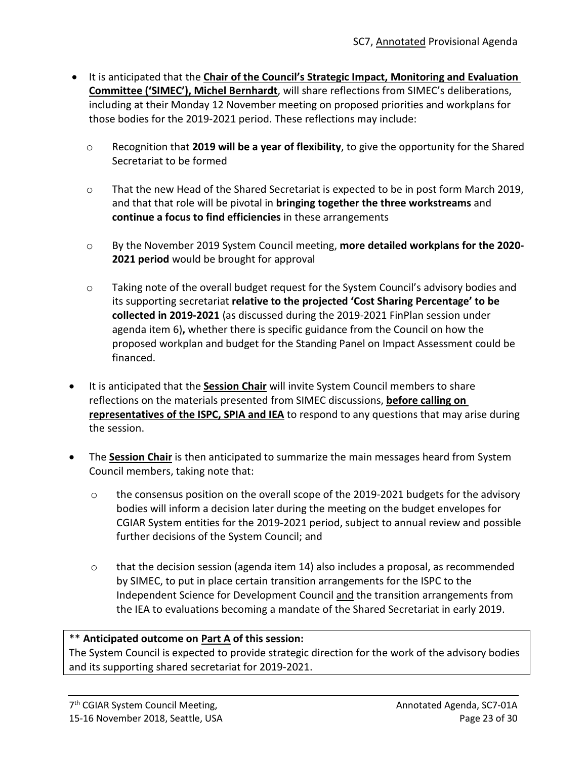- It is anticipated that the **Chair of the Council's Strategic Impact, Monitoring and Evaluation Committee ('SIMEC'), Michel Bernhardt**, will share reflections from SIMEC's deliberations, including at their Monday 12 November meeting on proposed priorities and workplans for those bodies for the 2019-2021 period. These reflections may include:
	- o Recognition that **2019 will be a year of flexibility**, to give the opportunity for the Shared Secretariat to be formed
	- o That the new Head of the Shared Secretariat is expected to be in post form March 2019, and that that role will be pivotal in **bringing together the three workstreams** and **continue a focus to find efficiencies** in these arrangements
	- o By the November 2019 System Council meeting, **more detailed workplans for the 2020- 2021 period** would be brought for approval
	- $\circ$  Taking note of the overall budget request for the System Council's advisory bodies and its supporting secretariat **relative to the projected 'Cost Sharing Percentage' to be collected in 2019-2021** (as discussed during the 2019-2021 FinPlan session under agenda item 6)**,** whether there is specific guidance from the Council on how the proposed workplan and budget for the Standing Panel on Impact Assessment could be financed.
- It is anticipated that the **Session Chair** will invite System Council members to share reflections on the materials presented from SIMEC discussions, **before calling on representatives of the ISPC, SPIA and IEA** to respond to any questions that may arise during the session.
- The **Session Chair** is then anticipated to summarize the main messages heard from System Council members, taking note that:
	- o the consensus position on the overall scope of the 2019-2021 budgets for the advisory bodies will inform a decision later during the meeting on the budget envelopes for CGIAR System entities for the 2019-2021 period, subject to annual review and possible further decisions of the System Council; and
	- $\circ$  that the decision session (agenda item 14) also includes a proposal, as recommended by SIMEC, to put in place certain transition arrangements for the ISPC to the Independent Science for Development Council and the transition arrangements from the IEA to evaluations becoming a mandate of the Shared Secretariat in early 2019.

## \*\* **Anticipated outcome on Part A of this session:**

The System Council is expected to provide strategic direction for the work of the advisory bodies and its supporting shared secretariat for 2019-2021.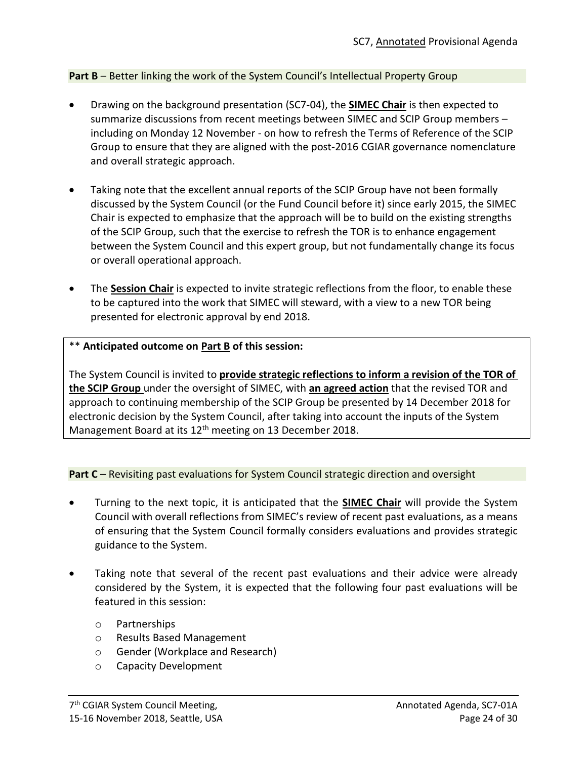## **Part B** – Better linking the work of the System Council's Intellectual Property Group

- Drawing on the background presentation (SC7-04), the **SIMEC Chair** is then expected to summarize discussions from recent meetings between SIMEC and SCIP Group members – including on Monday 12 November - on how to refresh the Terms of Reference of the SCIP Group to ensure that they are aligned with the post-2016 CGIAR governance nomenclature and overall strategic approach.
- Taking note that the excellent annual reports of the SCIP Group have not been formally discussed by the System Council (or the Fund Council before it) since early 2015, the SIMEC Chair is expected to emphasize that the approach will be to build on the existing strengths of the SCIP Group, such that the exercise to refresh the TOR is to enhance engagement between the System Council and this expert group, but not fundamentally change its focus or overall operational approach.
- The **Session Chair** is expected to invite strategic reflections from the floor, to enable these to be captured into the work that SIMEC will steward, with a view to a new TOR being presented for electronic approval by end 2018.

## \*\* **Anticipated outcome on Part B of this session:**

The System Council is invited to **provide strategic reflections to inform a revision of the TOR of the SCIP Group** under the oversight of SIMEC, with **an agreed action** that the revised TOR and approach to continuing membership of the SCIP Group be presented by 14 December 2018 for electronic decision by the System Council, after taking into account the inputs of the System Management Board at its 12<sup>th</sup> meeting on 13 December 2018.

**Part C** – Revisiting past evaluations for System Council strategic direction and oversight

- Turning to the next topic, it is anticipated that the **SIMEC Chair** will provide the System Council with overall reflections from SIMEC's review of recent past evaluations, as a means of ensuring that the System Council formally considers evaluations and provides strategic guidance to the System.
- Taking note that several of the recent past evaluations and their advice were already considered by the System, it is expected that the following four past evaluations will be featured in this session:
	- o Partnerships
	- o Results Based Management
	- o Gender (Workplace and Research)
	- o Capacity Development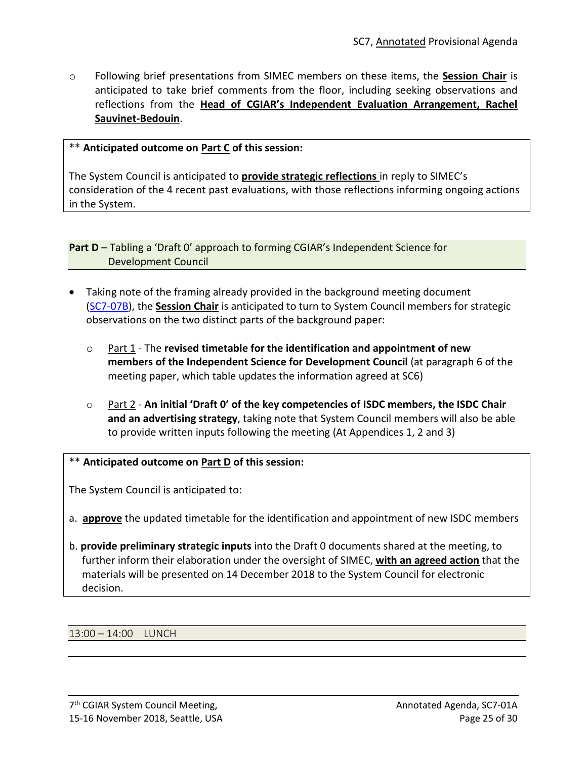o Following brief presentations from SIMEC members on these items, the **Session Chair** is anticipated to take brief comments from the floor, including seeking observations and reflections from the **Head of CGIAR's Independent Evaluation Arrangement, Rachel Sauvinet-Bedouin**.

### \*\* **Anticipated outcome on Part C of this session:**

The System Council is anticipated to **provide strategic reflections** in reply to SIMEC's consideration of the 4 recent past evaluations, with those reflections informing ongoing actions in the System.

**Part D** – Tabling a 'Draft O' approach to forming CGIAR's Independent Science for Development Council

- Taking note of the framing already provided in the background meeting document [\(SC7-07B\)](https://www.cgiar.org/wp/wp-content/uploads/2018/11/SC7-07B_Draft-0_ISDC-MemberCriteria_Chair-TOR-SelectionProcess.pdf), the **Session Chair** is anticipated to turn to System Council members for strategic observations on the two distinct parts of the background paper:
	- o Part 1 The **revised timetable for the identification and appointment of new members of the Independent Science for Development Council** (at paragraph 6 of the meeting paper, which table updates the information agreed at SC6)
	- o Part 2 **An initial 'Draft 0' of the key competencies of ISDC members, the ISDC Chair and an advertising strategy**, taking note that System Council members will also be able to provide written inputs following the meeting (At Appendices 1, 2 and 3)

#### \*\* **Anticipated outcome on Part D of this session:**

The System Council is anticipated to:

- a. **approve** the updated timetable for the identification and appointment of new ISDC members
- b. **provide preliminary strategic inputs** into the Draft 0 documents shared at the meeting, to further inform their elaboration under the oversight of SIMEC, **with an agreed action** that the materials will be presented on 14 December 2018 to the System Council for electronic decision.

13:00 – 14:00 LUNCH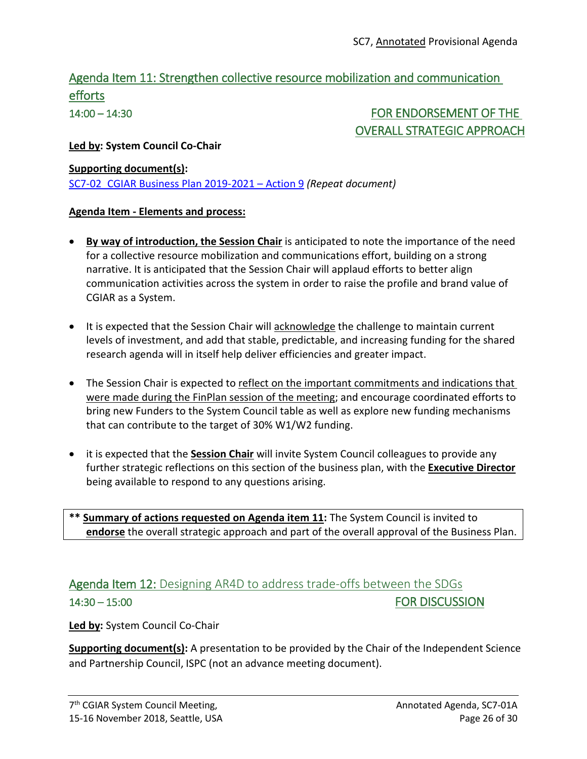# Agenda Item 11: Strengthen collective resource mobilization and communication efforts

14:00 – 14:30 FOR ENDORSEMENT OF THE OVERALL STRATEGIC APPROACH

## **Led by: System Council Co-Chair**

## **Supporting document(s):**

[SC7-02\\_CGIAR Business Plan 2019-2021](https://www.cgiar.org/wp/wp-content/uploads/2018/11/SC7-02_CGIAR-System_BusinessPlan_2019-2021.pdf) – Action 9 *(Repeat document)*

## **Agenda Item - Elements and process:**

- **By way of introduction, the Session Chair** is anticipated to note the importance of the need for a collective resource mobilization and communications effort, building on a strong narrative. It is anticipated that the Session Chair will applaud efforts to better align communication activities across the system in order to raise the profile and brand value of CGIAR as a System.
- It is expected that the Session Chair will acknowledge the challenge to maintain current levels of investment, and add that stable, predictable, and increasing funding for the shared research agenda will in itself help deliver efficiencies and greater impact.
- The Session Chair is expected to reflect on the important commitments and indications that were made during the FinPlan session of the meeting; and encourage coordinated efforts to bring new Funders to the System Council table as well as explore new funding mechanisms that can contribute to the target of 30% W1/W2 funding.
- it is expected that the **Session Chair** will invite System Council colleagues to provide any further strategic reflections on this section of the business plan, with the **Executive Director** being available to respond to any questions arising.

**\*\* Summary of actions requested on Agenda item 11:** The System Council is invited to **endorse** the overall strategic approach and part of the overall approval of the Business Plan.

# Agenda Item 12: Designing AR4D to address trade-offs between the SDGs 14:30 – 15:00 FOR DISCUSSION

**Led by:** System Council Co-Chair

**Supporting document(s):** A presentation to be provided by the Chair of the Independent Science and Partnership Council, ISPC (not an advance meeting document).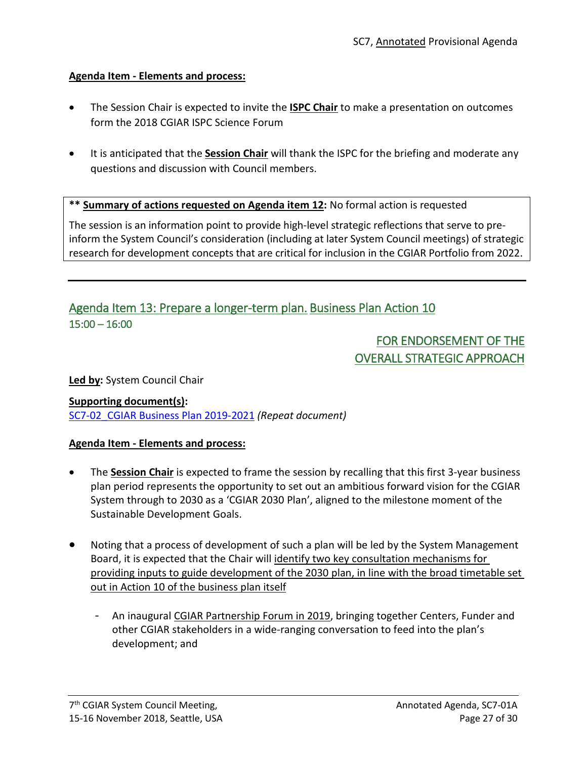## **Agenda Item - Elements and process:**

- The Session Chair is expected to invite the **ISPC Chair** to make a presentation on outcomes form the 2018 CGIAR ISPC Science Forum
- It is anticipated that the **Session Chair** will thank the ISPC for the briefing and moderate any questions and discussion with Council members.

**\*\* Summary of actions requested on Agenda item 12:** No formal action is requested

The session is an information point to provide high-level strategic reflections that serve to preinform the System Council's consideration (including at later System Council meetings) of strategic research for development concepts that are critical for inclusion in the CGIAR Portfolio from 2022.

## Agenda Item 13: Prepare a longer-term plan. Business Plan Action 10 15:00 – 16:00

# FOR ENDORSEMENT OF THE OVERALL STRATEGIC APPROACH

**Led by:** System Council Chair

**Supporting document(s):** [SC7-02\\_CGIAR Business Plan 2019-2021](https://www.cgiar.org/wp/wp-content/uploads/2018/11/SC7-02_CGIAR-System_BusinessPlan_2019-2021.pdf) *(Repeat document)*

## **Agenda Item - Elements and process:**

- The **Session Chair** is expected to frame the session by recalling that this first 3-year business plan period represents the opportunity to set out an ambitious forward vision for the CGIAR System through to 2030 as a 'CGIAR 2030 Plan', aligned to the milestone moment of the Sustainable Development Goals.
- Noting that a process of development of such a plan will be led by the System Management Board, it is expected that the Chair will identify two key consultation mechanisms for providing inputs to guide development of the 2030 plan, in line with the broad timetable set out in Action 10 of the business plan itself
	- An inaugural CGIAR Partnership Forum in 2019, bringing together Centers, Funder and other CGIAR stakeholders in a wide-ranging conversation to feed into the plan's development; and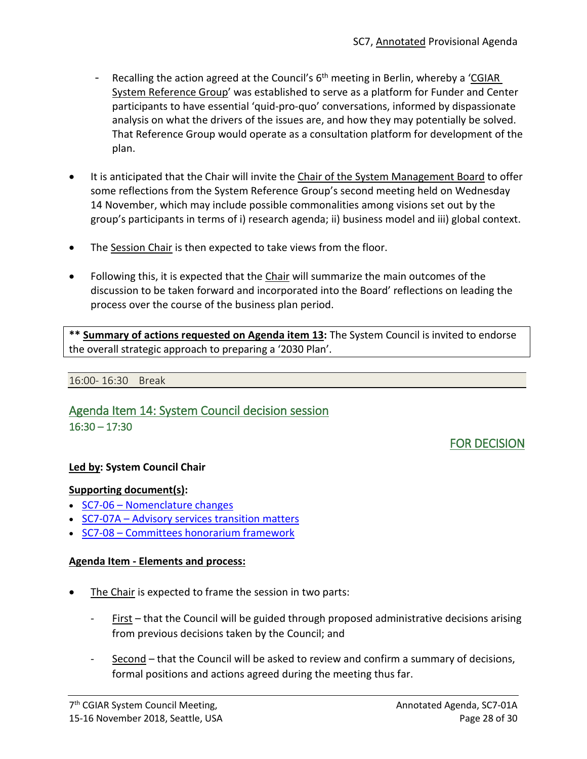- Recalling the action agreed at the Council's 6<sup>th</sup> meeting in Berlin, whereby a 'CGIAR System Reference Group' was established to serve as a platform for Funder and Center participants to have essential 'quid-pro-quo' conversations, informed by dispassionate analysis on what the drivers of the issues are, and how they may potentially be solved. That Reference Group would operate as a consultation platform for development of the plan.
- It is anticipated that the Chair will invite the Chair of the System Management Board to offer some reflections from the System Reference Group's second meeting held on Wednesday 14 November, which may include possible commonalities among visions set out by the group's participants in terms of i) research agenda; ii) business model and iii) global context.
- The Session Chair is then expected to take views from the floor.
- Following this, it is expected that the Chair will summarize the main outcomes of the discussion to be taken forward and incorporated into the Board' reflections on leading the process over the course of the business plan period.

**\*\* Summary of actions requested on Agenda item 13:** The System Council is invited to endorse the overall strategic approach to preparing a '2030 Plan'.

#### 16:00- 16:30 Break

## Agenda Item 14: System Council decision session 16:30 – 17:30

## FOR DECISION

### **Led by: System Council Chair**

### **Supporting document(s):**

- SC7-06 [Nomenclature changes](https://www.cgiar.org/wp/wp-content/uploads/2018/11/SC7-06_Nomenclature-changes.pdf)
- SC7-07A [Advisory services transition matters](https://www.cgiar.org/wp/wp-content/uploads/2018/11/SC7-07A-AdvisoryServicesTransitionMatters.pdf)
- SC7-08 [Committees honorarium framework](https://www.cgiar.org/wp/wp-content/uploads/2018/11/SC7-08_Cttees_honorarium_framework.pdf)

### **Agenda Item - Elements and process:**

- The Chair is expected to frame the session in two parts:
	- $First$  that the Council will be guided through proposed administrative decisions arising from previous decisions taken by the Council; and
	- Second that the Council will be asked to review and confirm a summary of decisions, formal positions and actions agreed during the meeting thus far.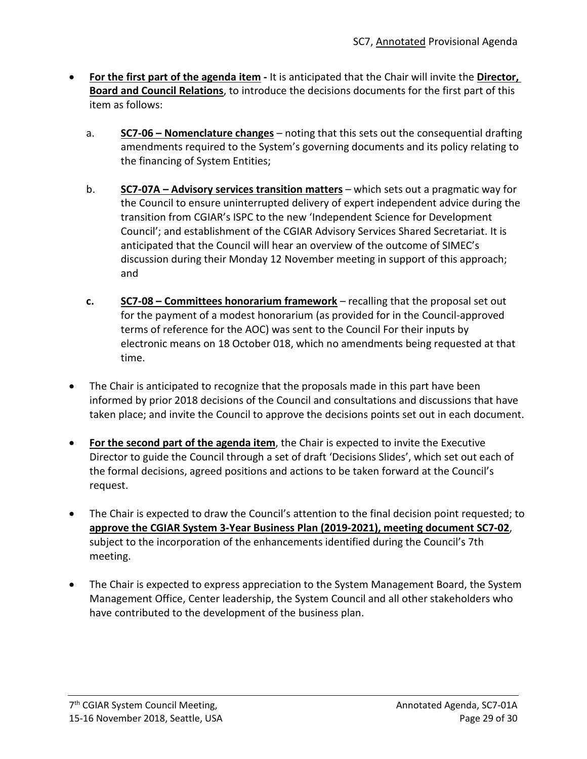- **For the first part of the agenda item -** It is anticipated that the Chair will invite the **Director, Board and Council Relations**, to introduce the decisions documents for the first part of this item as follows:
	- a. **SC7-06 – [Nomenclature changes](https://www.cgiar.org/wp/wp-content/uploads/2018/11/SC7-06_Nomenclature-changes.pdf)** noting that this sets out the consequential drafting amendments required to the System's governing documents and its policy relating to the financing of System Entities;
	- b. **SC7-07A – [Advisory services transition matters](https://www.cgiar.org/wp/wp-content/uploads/2018/11/SC7-07A-AdvisoryServicesTransitionMatters.pdf)** which sets out a pragmatic way for the Council to ensure uninterrupted delivery of expert independent advice during the transition from CGIAR's ISPC to the new 'Independent Science for Development Council'; and establishment of the CGIAR Advisory Services Shared Secretariat. It is anticipated that the Council will hear an overview of the outcome of SIMEC's discussion during their Monday 12 November meeting in support of this approach; and
	- **c. SC7-08 – Committees honorarium framework** recalling that the proposal set out for the payment of a modest honorarium (as provided for in the Council-approved terms of reference for the AOC) was sent to the Council For their inputs by electronic means on 18 October 018, which no amendments being requested at that time.
- The Chair is anticipated to recognize that the proposals made in this part have been informed by prior 2018 decisions of the Council and consultations and discussions that have taken place; and invite the Council to approve the decisions points set out in each document.
- **For the second part of the agenda item**, the Chair is expected to invite the Executive Director to guide the Council through a set of draft 'Decisions Slides', which set out each of the formal decisions, agreed positions and actions to be taken forward at the Council's request.
- The Chair is expected to draw the Council's attention to the final decision point requested; to **approve the CGIAR System 3-Year Business Plan (2019-2021), meeting document SC7-02**, subject to the incorporation of the enhancements identified during the Council's 7th meeting.
- The Chair is expected to express appreciation to the System Management Board, the System Management Office, Center leadership, the System Council and all other stakeholders who have contributed to the development of the business plan.